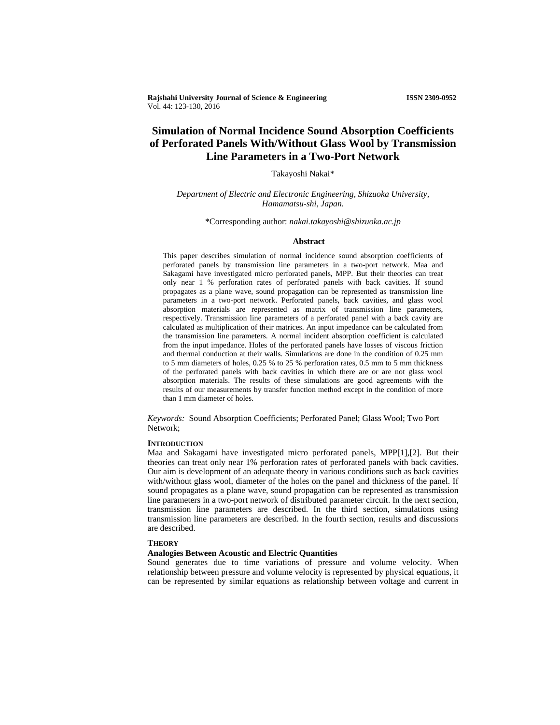**Rajshahi University Journal of Science & Engineering ISSN 2309-0952** Vol. 44: 123-130, 2016

# **Simulation of Normal Incidence Sound Absorption Coefficients of Perforated Panels With/Without Glass Wool by Transmission Line Parameters in a Two-Port Network**

### Takayoshi Nakai\*

*Department of Electric and Electronic Engineering, Shizuoka University, Hamamatsu-shi, Japan.* 

\*Corresponding author: *nakai.takayoshi@shizuoka.ac.jp*

### **Abstract**

This paper describes simulation of normal incidence sound absorption coefficients of perforated panels by transmission line parameters in a two-port network. Maa and Sakagami have investigated micro perforated panels, MPP. But their theories can treat only near 1 % perforation rates of perforated panels with back cavities. If sound propagates as a plane wave, sound propagation can be represented as transmission line parameters in a two-port network. Perforated panels, back cavities, and glass wool absorption materials are represented as matrix of transmission line parameters, respectively. Transmission line parameters of a perforated panel with a back cavity are calculated as multiplication of their matrices. An input impedance can be calculated from the transmission line parameters. A normal incident absorption coefficient is calculated from the input impedance. Holes of the perforated panels have losses of viscous friction and thermal conduction at their walls. Simulations are done in the condition of 0.25 mm to 5 mm diameters of holes, 0.25 % to 25 % perforation rates, 0.5 mm to 5 mm thickness of the perforated panels with back cavities in which there are or are not glass wool absorption materials. The results of these simulations are good agreements with the results of our measurements by transfer function method except in the condition of more than 1 mm diameter of holes.

*Keywords:* Sound Absorption Coefficients; Perforated Panel; Glass Wool; Two Port Network;

# **INTRODUCTION**

Maa and Sakagami have investigated micro perforated panels, MPP[1],[2]. But their theories can treat only near 1% perforation rates of perforated panels with back cavities. Our aim is development of an adequate theory in various conditions such as back cavities with/without glass wool, diameter of the holes on the panel and thickness of the panel. If sound propagates as a plane wave, sound propagation can be represented as transmission line parameters in a two-port network of distributed parameter circuit. In the next section, transmission line parameters are described. In the third section, simulations using transmission line parameters are described. In the fourth section, results and discussions are described.

#### **THEORY**

## **Analogies Between Acoustic and Electric Quantities**

Sound generates due to time variations of pressure and volume velocity. When relationship between pressure and volume velocity is represented by physical equations, it can be represented by similar equations as relationship between voltage and current in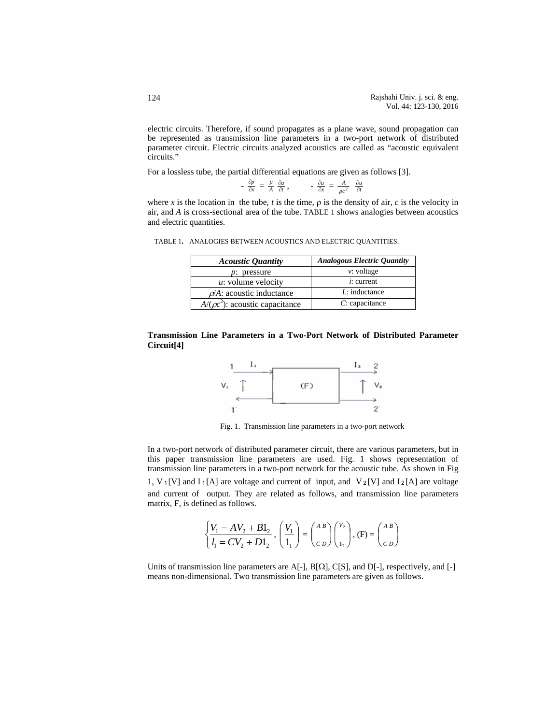electric circuits. Therefore, if sound propagates as a plane wave, sound propagation can be represented as transmission line parameters in a two-port network of distributed parameter circuit. Electric circuits analyzed acoustics are called as "acoustic equivalent circuits."

For a lossless tube, the partial differential equations are given as follows [3].

$$
- \frac{\partial p}{\partial x} = \frac{p}{A} \frac{\partial u}{\partial t}, \qquad - \frac{\partial u}{\partial x} = \frac{A}{pc^2} \frac{\partial u}{\partial t}
$$

where *x* is the location in the tube, *t* is the time,  $\rho$  is the density of air, *c* is the velocity in air, and *A* is cross-sectional area of the tube. TABLE 1 shows analogies between acoustics and electric quantities.

TABLE 1**.** ANALOGIES BETWEEN ACOUSTICS AND ELECTRIC QUANTITIES.

| <b>Acoustic Quantity</b>              | <b>Analogous Electric Quantity</b> |
|---------------------------------------|------------------------------------|
| $p$ : pressure                        | $v:$ voltage                       |
| $u$ : volume velocity                 | $i$ : current                      |
| $\rho/A$ : acoustic inductance        | $L:$ inductance                    |
| $A/(\rho c^2)$ : acoustic capacitance | $C$ : capacitance                  |

### **Transmission Line Parameters in a Two-Port Network of Distributed Parameter Circuit[4]**



Fig. 1. Transmission line parameters in a two-port network

In a two-port network of distributed parameter circuit, there are various parameters, but in this paper transmission line parameters are used. Fig. 1 shows representation of transmission line parameters in a two-port network for the acoustic tube. As shown in Fig 1,  $V_1[V]$  and  $I_1[A]$  are voltage and current of input, and  $V_2[V]$  and  $I_2[A]$  are voltage and current of output. They are related as follows, and transmission line parameters matrix, F, is defined as follows.

$$
\left\{\frac{V_1 = AV_2 + Bl_2}{l_1 = CV_2 + Dl_2}, \left(\frac{V_1}{l_1}\right) = {AB \choose CD} {V_2 \choose l_1}, \text{(F)} = {AB \choose CD}
$$

Units of transmission line parameters are  $A[-]$ ,  $B[\Omega]$ ,  $C[S]$ , and  $D[-]$ , respectively, and  $[-]$ means non-dimensional. Two transmission line parameters are given as follows.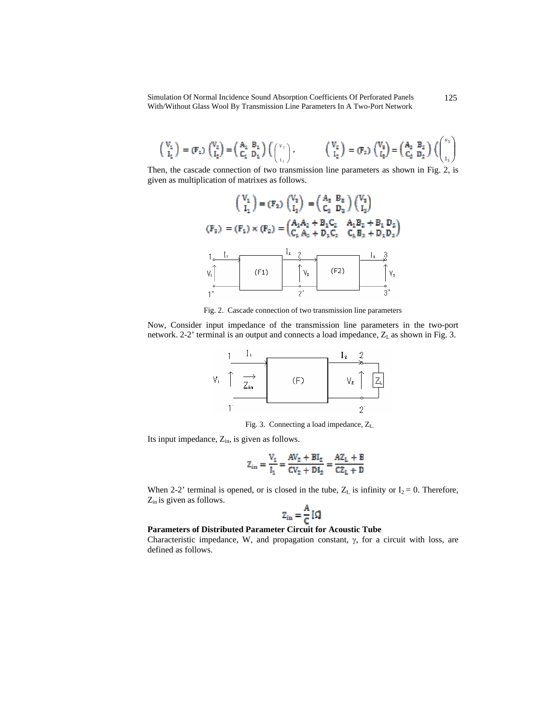Simulation Of Normal Incidence Sound Absorption Coefficients Of Perforated Panels With/Without Glass Wool By Transmission Line Parameters In A Two-Port Network

$$
\left(\begin{array}{c} V_1 \\ I_1 \end{array}\right) \ = \ (F_1) \ \left(\begin{array}{c} V_2 \\ I_2 \end{array}\right) = \left(\begin{array}{cc} A_1 & B_1 \\ C_1 & D_1 \end{array}\right) \left(\begin{array}{c} V_2 \\ \vdots \end{array}\right), \qquad \qquad \left(\begin{array}{c} V_2 \\ I_2 \end{array}\right) \ = \ (F_2) \ \left(\begin{array}{c} V_2 \\ I_3 \end{array}\right) = \left(\begin{array}{cc} A_2 & B_2 \\ C_2 & D_2 \end{array}\right) \left(\begin{array}{c} V_3 \\ \vdots \end{array}\right)
$$

Then, the cascade connection of two transmission line parameters as shown in Fig. 2, is given as multiplication of matrixes as follows.

$$
\begin{pmatrix} V_1 \\ I_1 \end{pmatrix} = (F_2) \begin{pmatrix} V_3 \\ I_2 \end{pmatrix} = \begin{pmatrix} A_3 & B_3 \\ C_2 & D_2 \end{pmatrix} \begin{pmatrix} V_3 \\ I_2 \end{pmatrix}
$$

$$
(F_3) = (F_1) \times (F_2) = \begin{pmatrix} A_1 A_2 + B_1 C_2 & A_1 B_2 + B_1 D_2 \\ C_1 A_2 + D_1 C_2 & C_1 B_2 + D_1 D_2 \end{pmatrix}
$$

$$
\begin{pmatrix} 1 & 1 & 2 & 1 & 3 \\ 0 & 0 & 0 & 0 \\ 0 & 0 & 0 & 0 \\ 0 & 0 & 0 & 0 \\ 0 & 0 & 0 & 0 \\ 0 & 0 & 0 & 0 \\ 0 & 0 & 0 & 0 \\ 0 & 0 & 0 & 0 \\ 0 & 0 & 0 & 0 \\ 0 & 0 & 0 & 0 \\ 0 & 0 & 0 & 0 \\ 0 & 0 & 0 & 0 \\ 0 & 0 & 0 & 0 \\ 0 & 0 & 0 & 0 \\ 0 & 0 & 0 & 0 \\ 0 & 0 & 0 & 0 \\ 0 & 0 & 0 & 0 \\ 0 & 0 & 0 & 0 \\ 0 & 0 & 0 & 0 \\ 0 & 0 & 0 & 0 \\ 0 & 0 & 0 & 0 \\ 0 & 0 & 0 & 0 \\ 0 & 0 & 0 & 0 \\ 0 & 0 & 0 & 0 \\ 0 & 0 & 0 & 0 \\ 0 & 0 & 0 & 0 \\ 0 & 0 & 0 & 0 \\ 0 & 0 & 0 & 0 \\ 0 & 0 & 0 & 0 \\ 0 & 0 & 0 & 0 \\ 0 & 0 & 0 & 0 & 0 \\ 0 & 0 & 0 & 0 & 0 \\ 0 & 0 & 0 & 0 & 0 \\ 0 & 0 & 0 & 0 & 0 \\ 0 & 0 & 0 & 0 & 0 \\ 0 & 0 & 0 & 0 & 0 \\ 0 & 0 & 0 & 0 & 0 \\ 0 & 0 & 0 & 0 & 0 \\ 0 & 0 & 0 & 0 & 0 \\ 0 & 0 & 0 & 0 & 0 \\ 0 & 0 & 0 & 0 & 0 \\ 0 & 0 & 0 & 0 & 0 \\ 0 & 0 & 0 & 0 & 0 \\ 0 & 0 &
$$

Fig. 2. Cascade connection of two transmission line parameters

Now, Consider input impedance of the transmission line parameters in the two-port network. 2-2' terminal is an output and connects a load impedance,  $Z_L$  as shown in Fig. 3.



Fig. 3. Connecting a load impedance, ZL.

Its input impedance,  $Z_{in}$ , is given as follows.

$$
Z_{\text{in}} = \frac{V_1}{I_1} = \frac{AV_2 + BI_2}{CV_2 + DI_2} = \frac{AZ_1 + B}{CZ_1 + D}
$$

When 2-2' terminal is opened, or is closed in the tube,  $Z_L$  is infinity or  $I_2 = 0$ . Therefore,  $Z_{in}$  is given as follows.

$$
Z_{in} = \frac{A}{C} [\Omega]
$$

# **Parameters of Distributed Parameter Circuit for Acoustic Tube**

Characteristic impedance, W, and propagation constant, γ, for a circuit with loss, are defined as follows.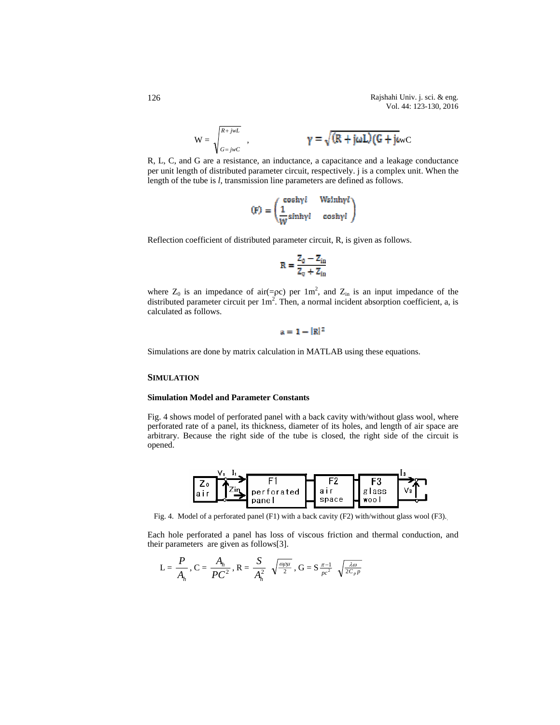Rajshahi Univ. j. sci. & eng. Vol. 44: 123-130, 2016

$$
w = \sqrt{\sum_{G=jwC}^{R+jwL}} \quad , \qquad \qquad \gamma = \sqrt{(R+j\omega L)(G+j\omega_C)}
$$

R, L, C, and G are a resistance, an inductance, a capacitance and a leakage conductance per unit length of distributed parameter circuit, respectively. j is a complex unit. When the length of the tube is *l*, transmission line parameters are defined as follows.

$$
\text{(F)} = \begin{pmatrix} \cosh\!\gamma l & \text{Wsinh}\!\gamma l \\ \frac{1}{W}\sinh\!\gamma l & \cosh\!\gamma l \end{pmatrix}
$$

Reflection coefficient of distributed parameter circuit, R, is given as follows.

$$
R = \frac{Z_0 - Z_{in}}{Z_0 + Z_{in}}
$$

where  $Z_0$  is an impedance of air(= $\rho c$ ) per 1m<sup>2</sup>, and  $Z_{in}$  is an input impedance of the distributed parameter circuit per  $1m^2$ . Then, a normal incident absorption coefficient, a, is calculated as follows.

$$
a = 1 - |R|^2
$$

Simulations are done by matrix calculation in MATLAB using these equations.

# **SIMULATION**

# **Simulation Model and Parameter Constants**

Fig. 4 shows model of perforated panel with a back cavity with/without glass wool, where perforated rate of a panel, its thickness, diameter of its holes, and length of air space are arbitrary. Because the right side of the tube is closed, the right side of the circuit is opened.



Fig. 4. Model of a perforated panel (F1) with a back cavity (F2) with/without glass wool (F3).

Each hole perforated a panel has loss of viscous friction and thermal conduction, and their parameters are given as follows[3].

$$
L = \frac{P}{A_h}, C = \frac{A_h}{PC^2}, R = \frac{S}{A_h^2} \sqrt{\frac{\omega \rho \mu}{2}}, G = S \frac{\pi - 1}{p c^2} \sqrt{\frac{\lambda \omega}{2C_p p}}
$$

126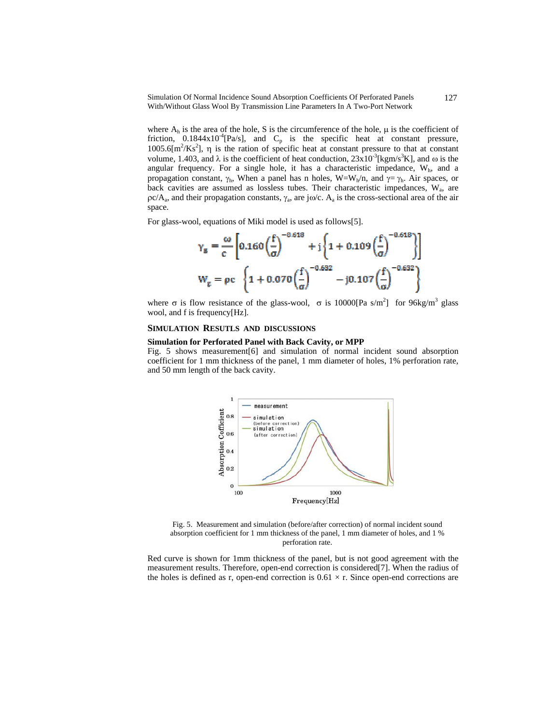Simulation Of Normal Incidence Sound Absorption Coefficients Of Perforated Panels With/Without Glass Wool By Transmission Line Parameters In A Two-Port Network 127

where  $A_h$  is the area of the hole, S is the circumference of the hole,  $\mu$  is the coefficient of friction,  $0.1844 \times 10^{-4}$ [Pa/s], and C<sub>p</sub> is the specific heat at constant pressure, 1005.6[ $m^2$ /Ks<sup>2</sup>], η is the ration of specific heat at constant pressure to that at constant volume, 1.403, and  $\lambda$  is the coefficient of heat conduction,  $23x10^3$ [kgm/s<sup>3</sup>K], and  $\omega$  is the angular frequency. For a single hole, it has a characteristic impedance,  $W<sub>h</sub>$ , and a propagation constant, γ<sub>h</sub>, When a panel has n holes, W=W<sub>h</sub>/n, and γ= γ<sub>h</sub>. Air spaces, or back cavities are assumed as lossless tubes. Their characteristic impedances, W<sub>a</sub>, are  $\text{pc}/\text{A}_a$ , and their propagation constants,  $\gamma_a$ , are jω/c. A<sub>a</sub> is the cross-sectional area of the air space.

For glass-wool, equations of Miki model is used as follows[5].

$$
\gamma_{g} = \frac{\omega}{c} \left[ 0.160 \left( \frac{f}{\sigma} \right)^{-0.618} + i \left\{ 1 + 0.109 \left( \frac{f}{\sigma} \right)^{-0.618} \right\} \right]
$$
  

$$
W_{g} = \rho c \left\{ 1 + 0.070 \left( \frac{f}{\sigma} \right)^{-0.632} - j0.107 \left( \frac{f}{\sigma} \right)^{-0.632} \right\}
$$

where  $\sigma$  is flow resistance of the glass-wool,  $\sigma$  is 10000[Pa s/m<sup>2</sup>] for 96kg/m<sup>3</sup> glass wool, and f is frequency[Hz].

### **SIMULATION RESUTLS AND DISCUSSIONS**

### **Simulation for Perforated Panel with Back Cavity, or MPP**

Fig. 5 shows measurement[6] and simulation of normal incident sound absorption coefficient for 1 mm thickness of the panel, 1 mm diameter of holes, 1% perforation rate, and 50 mm length of the back cavity.



Fig. 5. Measurement and simulation (before/after correction) of normal incident sound absorption coefficient for 1 mm thickness of the panel, 1 mm diameter of holes, and 1 % perforation rate.

Red curve is shown for 1mm thickness of the panel, but is not good agreement with the measurement results. Therefore, open-end correction is considered[7]. When the radius of the holes is defined as r, open-end correction is  $0.61 \times r$ . Since open-end corrections are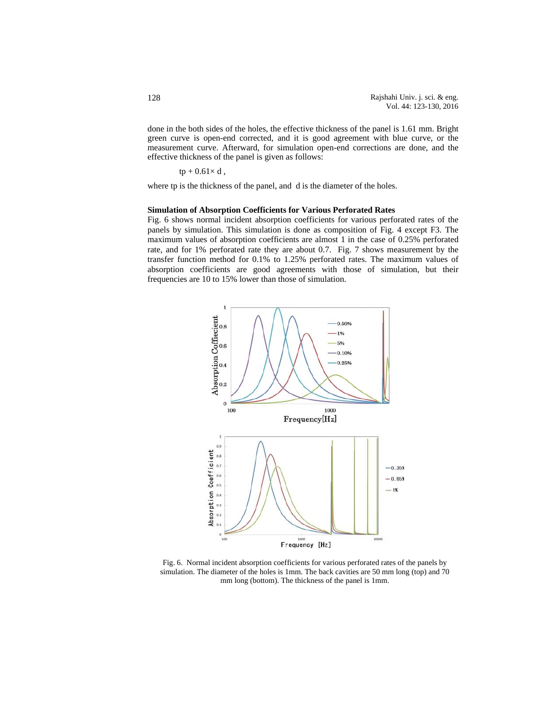done in the both sides of the holes, the effective thickness of the panel is 1.61 mm. Bright green curve is open-end corrected, and it is good agreement with blue curve, or the measurement curve. Afterward, for simulation open-end corrections are done, and the effective thickness of the panel is given as follows:

 $tp + 0.61 \times d$ ,

where tp is the thickness of the panel, and d is the diameter of the holes.

#### **Simulation of Absorption Coefficients for Various Perforated Rates**

Fig. 6 shows normal incident absorption coefficients for various perforated rates of the panels by simulation. This simulation is done as composition of Fig. 4 except F3. The maximum values of absorption coefficients are almost 1 in the case of 0.25% perforated rate, and for 1% perforated rate they are about 0.7. Fig. 7 shows measurement by the transfer function method for 0.1% to 1.25% perforated rates. The maximum values of absorption coefficients are good agreements with those of simulation, but their frequencies are 10 to 15% lower than those of simulation.



Fig. 6. Normal incident absorption coefficients for various perforated rates of the panels by simulation. The diameter of the holes is 1mm. The back cavities are 50 mm long (top) and 70 mm long (bottom). The thickness of the panel is 1mm.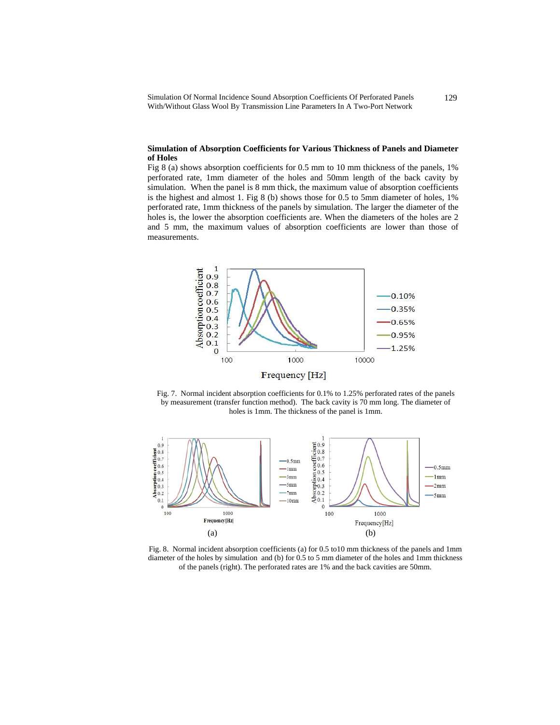Simulation Of Normal Incidence Sound Absorption Coefficients Of Perforated Panels With/Without Glass Wool By Transmission Line Parameters In A Two-Port Network

### **Simulation of Absorption Coefficients for Various Thickness of Panels and Diameter of Holes**

Fig 8 (a) shows absorption coefficients for 0.5 mm to 10 mm thickness of the panels, 1% perforated rate, 1mm diameter of the holes and 50mm length of the back cavity by simulation. When the panel is 8 mm thick, the maximum value of absorption coefficients is the highest and almost 1. Fig 8 (b) shows those for 0.5 to 5mm diameter of holes, 1% perforated rate, 1mm thickness of the panels by simulation. The larger the diameter of the holes is, the lower the absorption coefficients are. When the diameters of the holes are 2 and 5 mm, the maximum values of absorption coefficients are lower than those of measurements.



Fig. 7. Normal incident absorption coefficients for 0.1% to 1.25% perforated rates of the panels by measurement (transfer function method). The back cavity is 70 mm long. The diameter of holes is 1mm. The thickness of the panel is 1mm.



Fig. 8. Normal incident absorption coefficients (a) for 0.5 to10 mm thickness of the panels and 1mm diameter of the holes by simulation and (b) for 0.5 to 5 mm diameter of the holes and 1mm thickness of the panels (right). The perforated rates are 1% and the back cavities are 50mm.